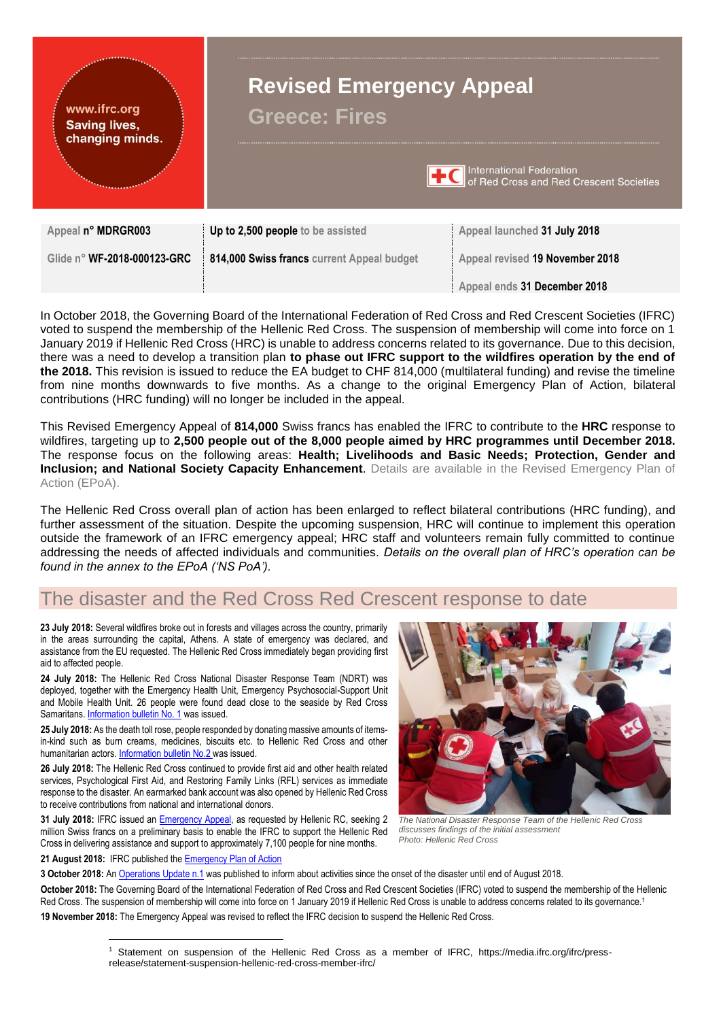

In October 2018, the Governing Board of the International Federation of Red Cross and Red Crescent Societies (IFRC) voted to suspend the membership of the Hellenic Red Cross. The suspension of membership will come into force on 1 January 2019 if Hellenic Red Cross (HRC) is unable to address concerns related to its governance. Due to this decision, there was a need to develop a transition plan **to phase out IFRC support to the wildfires operation by the end of the 2018.** This revision is issued to reduce the EA budget to CHF 814,000 (multilateral funding) and revise the timeline from nine months downwards to five months. As a change to the original Emergency Plan of Action, bilateral contributions (HRC funding) will no longer be included in the appeal.

This Revised Emergency Appeal of **814,000** Swiss francs has enabled the IFRC to contribute to the **HRC** response to wildfires, targeting up to **2,500 people out of the 8,000 people aimed by HRC programmes until December 2018.**  The response focus on the following areas: **Health; Livelihoods and Basic Needs; Protection, Gender and Inclusion; and National Society Capacity Enhancement**. Details are [available in the Revised](http://adore.ifrc.org/Download.aspx?FileId=218903) Emergency Plan of [Action \(EPoA\).](http://adore.ifrc.org/Download.aspx?FileId=218903)

The Hellenic Red Cross overall plan of action has been enlarged to reflect bilateral contributions (HRC funding), and further assessment of the situation. Despite the upcoming suspension, HRC will continue to implement this operation outside the framework of an IFRC emergency appeal; HRC staff and volunteers remain fully committed to continue addressing the needs of affected individuals and communities. *Details on the overall plan of HRC's operation can be found in the annex to the EPoA ('NS PoA').*

# The disaster and the Red Cross Red Crescent response to date

**23 July 2018:** Several wildfires broke out in forests and villages across the country, primarily in the areas surrounding the capital, Athens. A state of emergency was declared, and assistance from the EU requested. The Hellenic Red Cross immediately began providing first aid to affected people.

**24 July 2018:** The Hellenic Red Cross National Disaster Response Team (NDRT) was deployed, together with the Emergency Health Unit, Emergency Psychosocial-Support Unit and Mobile Health Unit. 26 people were found dead close to the seaside by Red Cross Samaritans. [Information bulletin No. 1](http://www.ifrc.org/docs/Appeals/18/IB_Greece_Wildfires_24072018.pdf) was issued.

**25 July 2018:** As the death toll rose, people responded by donating massive amounts of itemsin-kind such as burn creams, medicines, biscuits etc. to Hellenic Red Cross and other humanitarian actors. [Information bulletin No.2](http://www.ifrc.org/docs/Appeals/18/IB2_Greece_Wildfires_25072018.pdf) was issued.

**26 July 2018:** The Hellenic Red Cross continued to provide first aid and other health related services, Psychological First Aid, and Restoring Family Links (RFL) services as immediate response to the disaster. An earmarked bank account was also opened by Hellenic Red Cross to receive contributions from national and international donors.

**31 July 2018:** IFRC issued an [Emergency Appeal,](http://adore.ifrc.org/Download.aspx?FileId=208837) as requested by Hellenic RC, seeking 2 million Swiss francs on a preliminary basis to enable the IFRC to support the Hellenic Red Cross in delivering assistance and support to approximately 7,100 people for nine months.

**21 August 2018:** IFRC published th[e Emergency Plan of Action](http://adore.ifrc.org/Download.aspx?FileId=210334)

*The National Disaster Response Team of the Hellenic Red Cross* 

*discusses findings of the initial assessment Photo: Hellenic Red Cross*

**3 October 2018:** A[n Operations Update n.1](http://adore.ifrc.org/Download.aspx?FileId=213666) was published to inform about activities since the onset of the disaster until end of August 2018.

**October 2018:** The Governing Board of the International Federation of Red Cross and Red Crescent Societies (IFRC) voted to suspend the membership of the Hellenic Red Cross. The suspension of membership will come into force on 1 January 2019 if Hellenic Red Cross is unable to address concerns related to its governance.<sup>1</sup> **19 November 2018:** The Emergency Appeal was revised to reflect the IFRC decision to suspend the Hellenic Red Cross.

<sup>1</sup> Statement on suspension of the Hellenic Red Cross as a member of IFRC, https://media.ifrc.org/ifrc/pressrelease/statement-suspension-hellenic-red-cross-member-ifrc/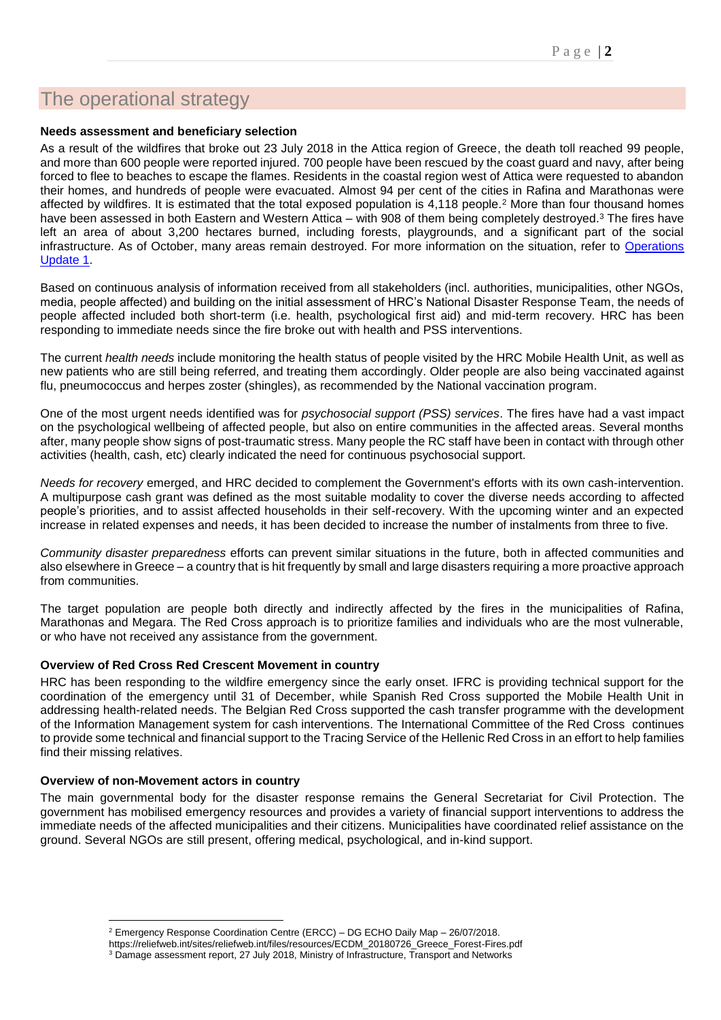# The operational strategy

#### **Needs assessment and beneficiary selection**

As a result of the wildfires that broke out 23 July 2018 in the Attica region of Greece, the death toll reached 99 people, and more than 600 people were reported injured. 700 people have been rescued by the coast guard and navy, after being forced to flee to beaches to escape the flames. Residents in the coastal region west of Attica were requested to abandon their homes, and hundreds of people were evacuated. Almost 94 per cent of the cities in Rafina and Marathonas were affected by wildfires. It is estimated that the total exposed population is 4,118 people.<sup>2</sup> More than four thousand homes have been assessed in both Eastern and Western Attica – with 908 of them being completely destroyed.<sup>3</sup> The fires have left an area of about 3,200 hectares burned, including forests, playgrounds, and a significant part of the social infrastructure. As of October, many areas remain destroyed. For more information on the situation, refer to [Operations](http://adore.ifrc.org/Download.aspx?FileId=213666)  [Update 1.](http://adore.ifrc.org/Download.aspx?FileId=213666)

Based on continuous analysis of information received from all stakeholders (incl. authorities, municipalities, other NGOs, media, people affected) and building on the initial assessment of HRC's National Disaster Response Team, the needs of people affected included both short-term (i.e. health, psychological first aid) and mid-term recovery. HRC has been responding to immediate needs since the fire broke out with health and PSS interventions.

The current *health needs* include monitoring the health status of people visited by the HRC Mobile Health Unit, as well as new patients who are still being referred, and treating them accordingly. Older people are also being vaccinated against flu, pneumococcus and herpes zoster (shingles), as recommended by the National vaccination program.

One of the most urgent needs identified was for *psychosocial support (PSS) services*. The fires have had a vast impact on the psychological wellbeing of affected people, but also on entire communities in the affected areas. Several months after, many people show signs of post-traumatic stress. Many people the RC staff have been in contact with through other activities (health, cash, etc) clearly indicated the need for continuous psychosocial support.

*Needs for recovery* emerged, and HRC decided to complement the Government's efforts with its own cash-intervention. A multipurpose cash grant was defined as the most suitable modality to cover the diverse needs according to affected people's priorities, and to assist affected households in their self-recovery. With the upcoming winter and an expected increase in related expenses and needs, it has been decided to increase the number of instalments from three to five.

*Community disaster preparedness* efforts can prevent similar situations in the future, both in affected communities and also elsewhere in Greece – a country that is hit frequently by small and large disasters requiring a more proactive approach from communities.

The target population are people both directly and indirectly affected by the fires in the municipalities of Rafina, Marathonas and Megara. The Red Cross approach is to prioritize families and individuals who are the most vulnerable, or who have not received any assistance from the government.

#### **Overview of Red Cross Red Crescent Movement in country**

HRC has been responding to the wildfire emergency since the early onset. IFRC is providing technical support for the coordination of the emergency until 31 of December, while Spanish Red Cross supported the Mobile Health Unit in addressing health-related needs. The Belgian Red Cross supported the cash transfer programme with the development of the Information Management system for cash interventions. The International Committee of the Red Cross continues to provide some technical and financial support to the Tracing Service of the Hellenic Red Cross in an effort to help families find their missing relatives.

#### **Overview of non-Movement actors in country**

1

The main governmental body for the disaster response remains the General Secretariat for Civil Protection. The government has mobilised emergency resources and provides a variety of financial support interventions to address the immediate needs of the affected municipalities and their citizens. Municipalities have coordinated relief assistance on the ground. Several NGOs are still present, offering medical, psychological, and in-kind support.

<sup>2</sup> Emergency Response Coordination Centre (ERCC) – DG ECHO Daily Map – 26/07/2018.

https://reliefweb.int/sites/reliefweb.int/files/resources/ECDM\_20180726\_Greece\_Forest-Fires.pdf

<sup>3</sup> Damage assessment report, 27 July 2018, Ministry of Infrastructure, Transport and Networks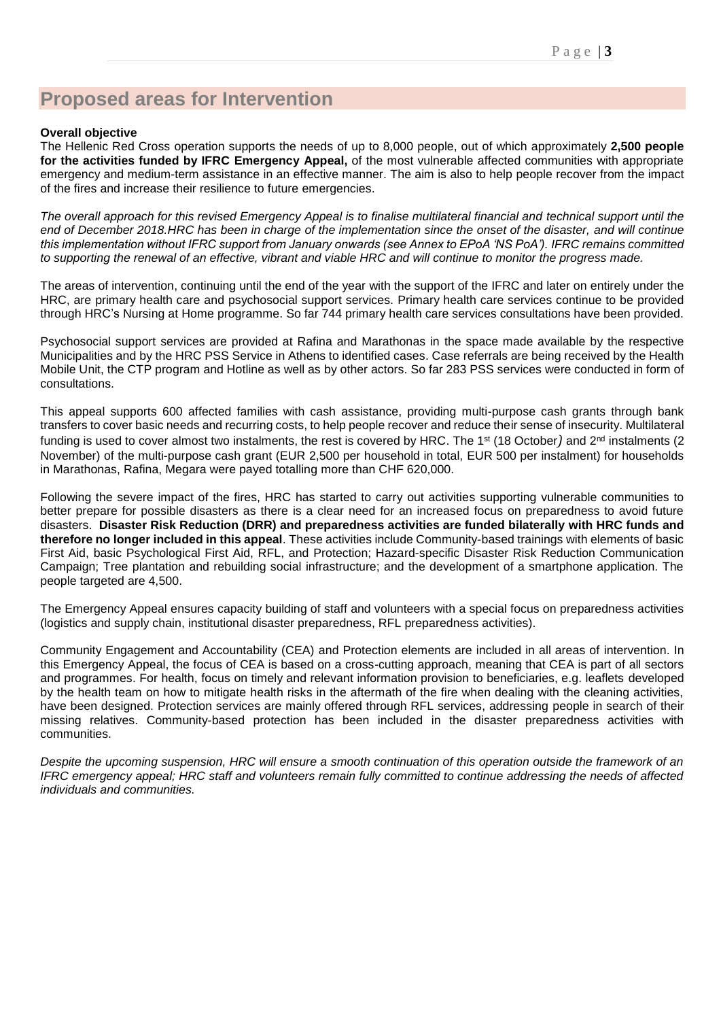# **Proposed areas for Intervention**

#### **Overall objective**

The Hellenic Red Cross operation supports the needs of up to 8,000 people, out of which approximately **2,500 people for the activities funded by IFRC Emergency Appeal,** of the most vulnerable affected communities with appropriate emergency and medium-term assistance in an effective manner. The aim is also to help people recover from the impact of the fires and increase their resilience to future emergencies.

*The overall approach for this revised Emergency Appeal is to finalise multilateral financial and technical support until the end of December 2018.HRC has been in charge of the implementation since the onset of the disaster, and will continue this implementation without IFRC support from January onwards (see Annex to EPoA 'NS PoA'). IFRC remains committed to supporting the renewal of an effective, vibrant and viable HRC and will continue to monitor the progress made.*

The areas of intervention, continuing until the end of the year with the support of the IFRC and later on entirely under the HRC, are primary health care and psychosocial support services. Primary health care services continue to be provided through HRC's Nursing at Home programme. So far 744 primary health care services consultations have been provided.

Psychosocial support services are provided at Rafina and Marathonas in the space made available by the respective Municipalities and by the HRC PSS Service in Athens to identified cases. Case referrals are being received by the Health Mobile Unit, the CTP program and Hotline as well as by other actors. So far 283 PSS services were conducted in form of consultations.

This appeal supports 600 affected families with cash assistance, providing multi-purpose cash grants through bank transfers to cover basic needs and recurring costs, to help people recover and reduce their sense of insecurity. Multilateral funding is used to cover almost two instalments, the rest is covered by HRC. The 1<sup>st</sup> (18 October) and 2<sup>nd</sup> instalments (2 November) of the multi-purpose cash grant (EUR 2,500 per household in total, EUR 500 per instalment) for households in Marathonas, Rafina, Megara were payed totalling more than CHF 620,000.

Following the severe impact of the fires, HRC has started to carry out activities supporting vulnerable communities to better prepare for possible disasters as there is a clear need for an increased focus on preparedness to avoid future disasters. **Disaster Risk Reduction (DRR) and preparedness activities are funded bilaterally with HRC funds and therefore no longer included in this appeal**. These activities include Community-based trainings with elements of basic First Aid, basic Psychological First Aid, RFL, and Protection; Hazard-specific Disaster Risk Reduction Communication Campaign; Tree plantation and rebuilding social infrastructure; and the development of a smartphone application. The people targeted are 4,500.

The Emergency Appeal ensures capacity building of staff and volunteers with a special focus on preparedness activities (logistics and supply chain, institutional disaster preparedness, RFL preparedness activities).

Community Engagement and Accountability (CEA) and Protection elements are included in all areas of intervention. In this Emergency Appeal, the focus of CEA is based on a cross-cutting approach, meaning that CEA is part of all sectors and programmes. For health, focus on timely and relevant information provision to beneficiaries, e.g. leaflets developed by the health team on how to mitigate health risks in the aftermath of the fire when dealing with the cleaning activities, have been designed. Protection services are mainly offered through RFL services, addressing people in search of their missing relatives. Community-based protection has been included in the disaster preparedness activities with communities.

*Despite the upcoming suspension, HRC will ensure a smooth continuation of this operation outside the framework of an IFRC emergency appeal; HRC staff and volunteers remain fully committed to continue addressing the needs of affected individuals and communities.*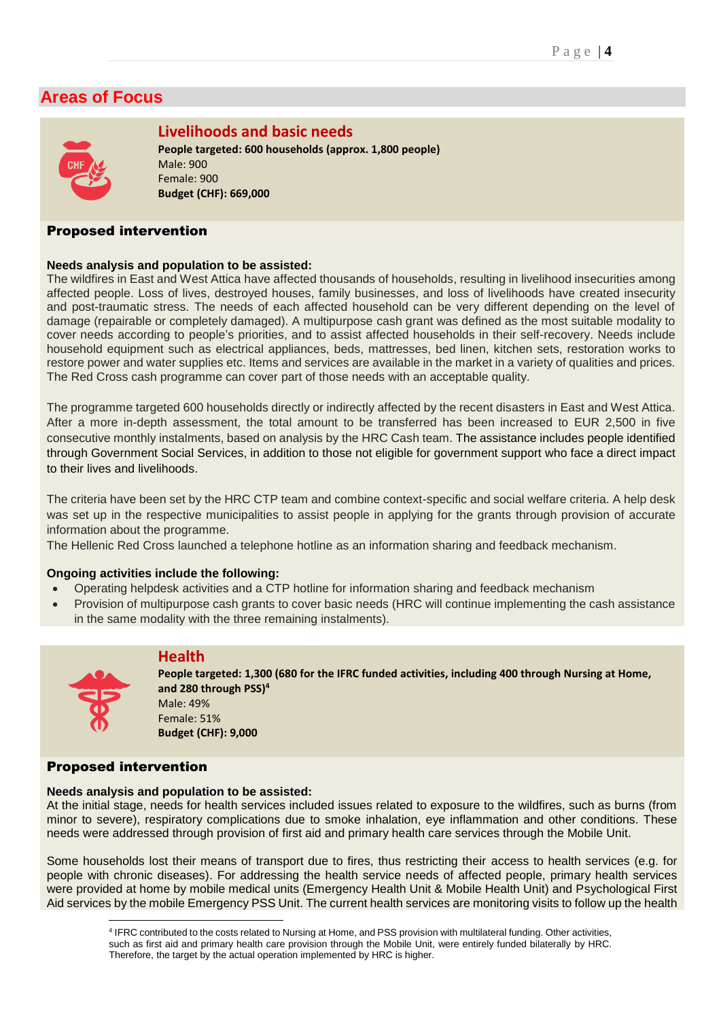# **Areas of Focus**



## **Livelihoods and basic needs**

**People targeted: 600 households (approx. 1,800 people)** Male: 900 Female: 900 **Budget (CHF): 669,000**

#### Proposed intervention

#### **Needs analysis and population to be assisted:**

The wildfires in East and West Attica have affected thousands of households, resulting in livelihood insecurities among affected people. Loss of lives, destroyed houses, family businesses, and loss of livelihoods have created insecurity and post-traumatic stress. The needs of each affected household can be very different depending on the level of damage (repairable or completely damaged). A multipurpose cash grant was defined as the most suitable modality to cover needs according to people's priorities, and to assist affected households in their self-recovery. Needs include household equipment such as electrical appliances, beds, mattresses, bed linen, kitchen sets, restoration works to restore power and water supplies etc. Items and services are available in the market in a variety of qualities and prices. The Red Cross cash programme can cover part of those needs with an acceptable quality.

The programme targeted 600 households directly or indirectly affected by the recent disasters in East and West Attica. After a more in-depth assessment, the total amount to be transferred has been increased to EUR 2,500 in five consecutive monthly instalments, based on analysis by the HRC Cash team. The assistance includes people identified through Government Social Services, in addition to those not eligible for government support who face a direct impact to their lives and livelihoods.

The criteria have been set by the HRC CTP team and combine context-specific and social welfare criteria. A help desk was set up in the respective municipalities to assist people in applying for the grants through provision of accurate information about the programme.

The Hellenic Red Cross launched a telephone hotline as an information sharing and feedback mechanism.

#### **Ongoing activities include the following:**

- Operating helpdesk activities and a CTP hotline for information sharing and feedback mechanism
- Provision of multipurpose cash grants to cover basic needs (HRC will continue implementing the cash assistance in the same modality with the three remaining instalments).



**People targeted: 1,300 (680 for the IFRC funded activities, including 400 through Nursing at Home, and 280 through PSS) 4** Male: 49% Female: 51% **Budget (CHF): 9,000**

#### Proposed intervention

#### **Needs analysis and population to be assisted:**

**Health**

At the initial stage, needs for health services included issues related to exposure to the wildfires, such as burns (from minor to severe), respiratory complications due to smoke inhalation, eye inflammation and other conditions. These needs were addressed through provision of first aid and primary health care services through the Mobile Unit.

Some households lost their means of transport due to fires, thus restricting their access to health services (e.g. for people with chronic diseases). For addressing the health service needs of affected people, primary health services were provided at home by mobile medical units (Emergency Health Unit & Mobile Health Unit) and Psychological First Aid services by the mobile Emergency PSS Unit. The current health services are monitoring visits to follow up the health

<sup>1</sup> 4 IFRC contributed to the costs related to Nursing at Home, and PSS provision with multilateral funding. Other activities, such as first aid and primary health care provision through the Mobile Unit, were entirely funded bilaterally by HRC. Therefore, the target by the actual operation implemented by HRC is higher.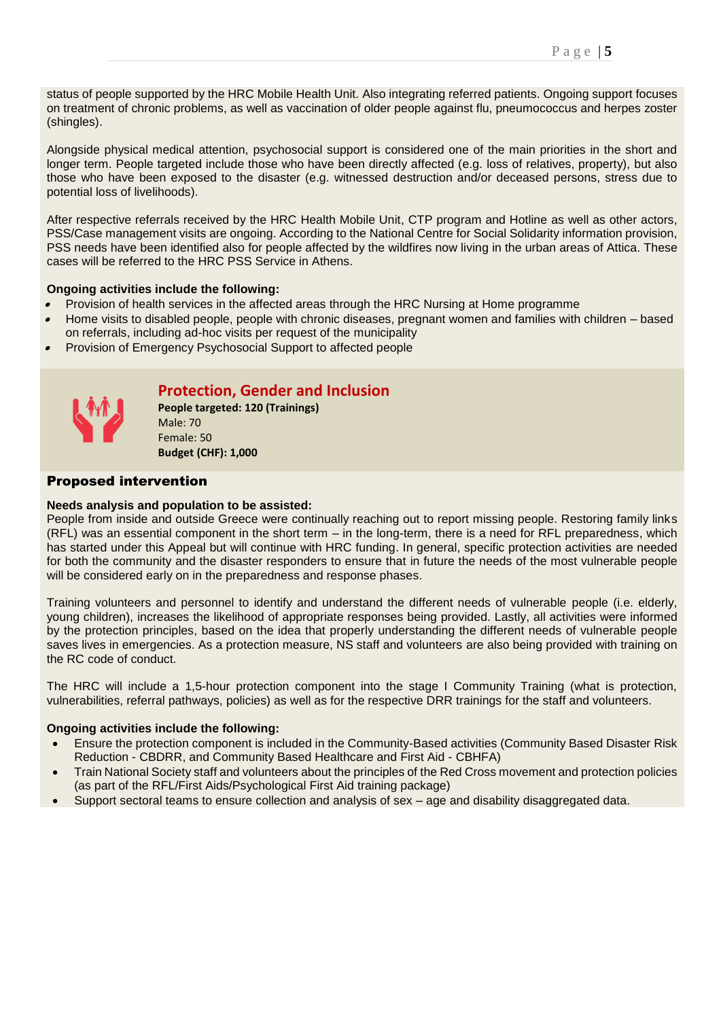status of people supported by the HRC Mobile Health Unit. Also integrating referred patients. Ongoing support focuses on treatment of chronic problems, as well as vaccination of older people against flu, pneumococcus and herpes zoster (shingles).

Alongside physical medical attention, psychosocial support is considered one of the main priorities in the short and longer term. People targeted include those who have been directly affected (e.g. loss of relatives, property), but also those who have been exposed to the disaster (e.g. witnessed destruction and/or deceased persons, stress due to potential loss of livelihoods).

After respective referrals received by the HRC Health Mobile Unit, CTP program and Hotline as well as other actors, PSS/Case management visits are ongoing. According to the National Centre for Social Solidarity information provision, PSS needs have been identified also for people affected by the wildfires now living in the urban areas of Attica. These cases will be referred to the HRC PSS Service in Athens.

#### **Ongoing activities include the following:**

- •Provision of health services in the affected areas through the HRC Nursing at Home programme
- • Home visits to disabled people, people with chronic diseases, pregnant women and families with children – based on referrals, including ad-hoc visits per request of the municipality
- •Provision of Emergency Psychosocial Support to affected people



## **Protection, Gender and Inclusion**

**People targeted: 120 (Trainings)**  Male: 70 Female: 50 **Budget (CHF): 1,000**

#### Proposed intervention

#### **Needs analysis and population to be assisted:**

People from inside and outside Greece were continually reaching out to report missing people. Restoring family links (RFL) was an essential component in the short term – in the long-term, there is a need for RFL preparedness, which has started under this Appeal but will continue with HRC funding. In general, specific protection activities are needed for both the community and the disaster responders to ensure that in future the needs of the most vulnerable people will be considered early on in the preparedness and response phases.

Training volunteers and personnel to identify and understand the different needs of vulnerable people (i.e. elderly, young children), increases the likelihood of appropriate responses being provided. Lastly, all activities were informed by the protection principles, based on the idea that properly understanding the different needs of vulnerable people saves lives in emergencies. As a protection measure, NS staff and volunteers are also being provided with training on the RC code of conduct.

The HRC will include a 1,5-hour protection component into the stage I Community Training (what is protection, vulnerabilities, referral pathways, policies) as well as for the respective DRR trainings for the staff and volunteers.

#### **Ongoing activities include the following:**

- Ensure the protection component is included in the Community-Based activities (Community Based Disaster Risk Reduction - CBDRR, and Community Based Healthcare and First Aid - CBHFA)
- Train National Society staff and volunteers about the principles of the Red Cross movement and protection policies (as part of the RFL/First Aids/Psychological First Aid training package)
- Support sectoral teams to ensure collection and analysis of sex age and disability disaggregated data.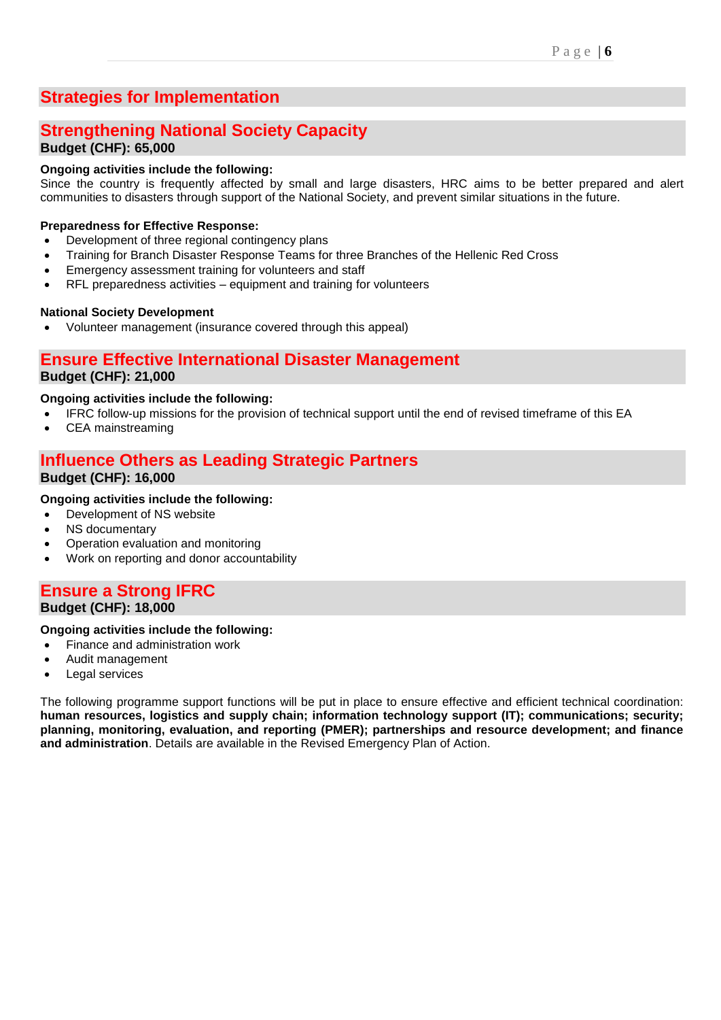# **Strategies for Implementation**

## **Strengthening National Society Capacity Budget (CHF): 65,000**

### **Ongoing activities include the following:**

Since the country is frequently affected by small and large disasters, HRC aims to be better prepared and alert communities to disasters through support of the National Society, and prevent similar situations in the future.

#### **Preparedness for Effective Response:**

- Development of three regional contingency plans
- Training for Branch Disaster Response Teams for three Branches of the Hellenic Red Cross
- Emergency assessment training for volunteers and staff
- RFL preparedness activities equipment and training for volunteers

#### **National Society Development**

• Volunteer management (insurance covered through this appeal)

## **Ensure Effective International Disaster Management**

### **Budget (CHF): 21,000**

#### **Ongoing activities include the following:**

- IFRC follow-up missions for the provision of technical support until the end of revised timeframe of this EA
- CEA mainstreaming

# **Influence Others as Leading Strategic Partners**

#### **Budget (CHF): 16,000**

#### **Ongoing activities include the following:**

- Development of NS website
- NS documentary
- Operation evaluation and monitoring
- Work on reporting and donor accountability

### **Ensure a Strong IFRC Budget (CHF): 18,000**

#### **Ongoing activities include the following:**

- Finance and administration work
- Audit management
- Legal services

The following programme support functions will be put in place to ensure effective and efficient technical coordination: **human resources, logistics and supply chain; information technology support (IT); communications; security; planning, monitoring, evaluation, and reporting (PMER); partnerships and resource development; and finance and administration**. Details are available in the Revised Emergency Plan of Action.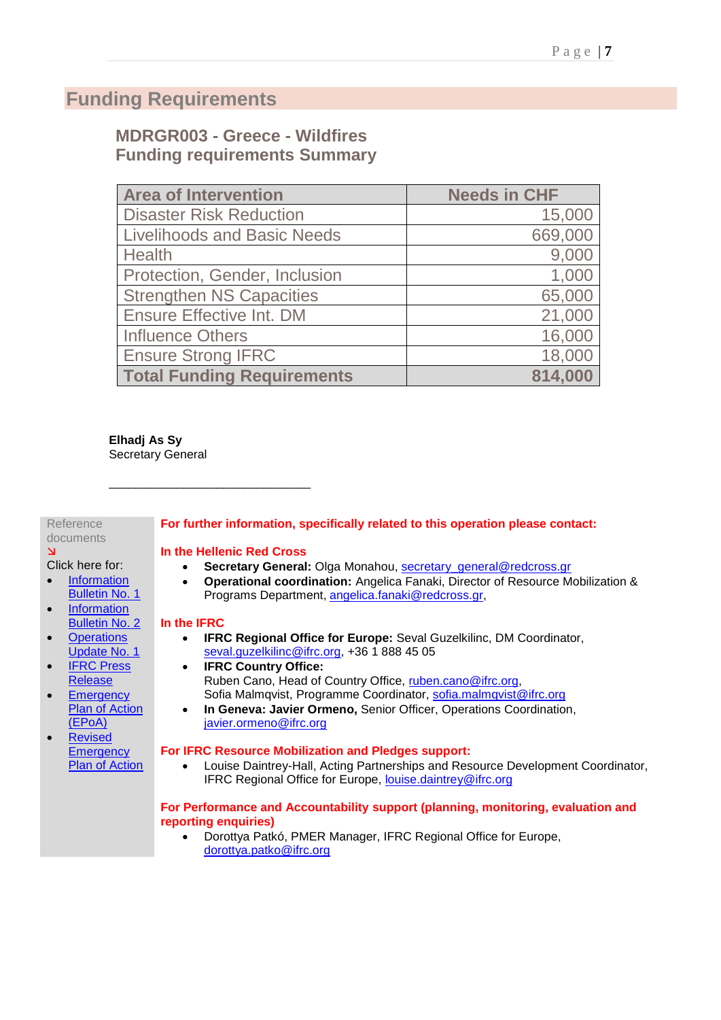# **Funding Requirements**

## **MDRGR003 - Greece - Wildfires Funding requirements Summary**

| <b>Area of Intervention</b>        | <b>Needs in CHF</b> |
|------------------------------------|---------------------|
| <b>Disaster Risk Reduction</b>     | 15,000              |
| <b>Livelihoods and Basic Needs</b> | 669,000             |
| Health                             | 9,000               |
| Protection, Gender, Inclusion      | 1,000               |
| <b>Strengthen NS Capacities</b>    | 65,000              |
| <b>Ensure Effective Int. DM</b>    | 21,000              |
| <b>Influence Others</b>            | 16,000              |
| <b>Ensure Strong IFRC</b>          | 18,000              |
| <b>Total Funding Requirements</b>  | 814,000             |

**Elhadj As Sy** Secretary General

## Reference

#### documents  $\Delta$

#### Click here for:

- [Information](http://www.ifrc.org/docs/Appeals/18/IB_Greece_Wildfires_24072018.pdf)  [Bulletin No. 1](http://www.ifrc.org/docs/Appeals/18/IB_Greece_Wildfires_24072018.pdf)
- **Information** [Bulletin No. 2](http://www.ifrc.org/docs/Appeals/18/IB2_Greece_Wildfires_25072018.pdf)
- **Operations** [Update No. 1](http://adore.ifrc.org/Download.aspx?FileId=213666)
- **IFRC Press** [Release](https://media.ifrc.org/ifrc/press-release/red-cross-teams-ground-greece-wildfires-continue-rage/)
- **Emergency** [Plan of Action](http://adore.ifrc.org/Download.aspx?FileId=210334)  [\(EPoA\)](http://adore.ifrc.org/Download.aspx?FileId=210334)
- **Revised Emergency** [Plan of Action](http://adore.ifrc.org/Download.aspx?FileId=218903)

## **For further information, specifically related to this operation please contact:**

#### **In the Hellenic Red Cross**

\_\_\_\_\_\_\_\_\_\_\_\_\_\_\_\_\_\_\_\_\_\_\_\_\_\_\_\_\_\_

- **Secretary General:** Olga Monahou, [secretary\\_general@redcross.gr](mailto:secretary_general@redcross.gr)
- **Operational coordination:** Angelica Fanaki, Director of Resource Mobilization & Programs Department, [angelica.fanaki@redcross.gr,](mailto:angelica.fanaki@redcross.gr)

#### **In the IFRC**

- **IFRC Regional Office for Europe:** Seval Guzelkilinc, DM Coordinator, [seval.guzelkilinc@ifrc.org,](mailto:seval.guzelkilinc@ifrc.org) +36 1 888 45 05
- **IFRC Country Office:** Ruben Cano, Head of Country Office, [ruben.cano@ifrc.org,](mailto:ruben.cano@ifrc.org) Sofia Malmqvist, Programme Coordinator, [sofia.malmqvist@ifrc.org](mailto:sofia.malmqvist@ifrc.org)
- **In Geneva: Javier Ormeno,** Senior Officer, Operations Coordination, [javier.ormeno@ifrc.org](mailto:javier.ormeno@ifrc.org)

#### **For IFRC Resource Mobilization and Pledges support:**

• Louise Daintrey-Hall, Acting Partnerships and Resource Development Coordinator, IFRC Regional Office for Europe, [louise.daintrey@ifrc.org](mailto:louise.daintrey@ifrc.org)

#### **For Performance and Accountability support (planning, monitoring, evaluation and reporting enquiries)**

• Dorottya Patkó, PMER Manager, IFRC Regional Office for Europe, [dorottya.patko@ifrc.org](mailto:dorottya.patko@ifrc.org)